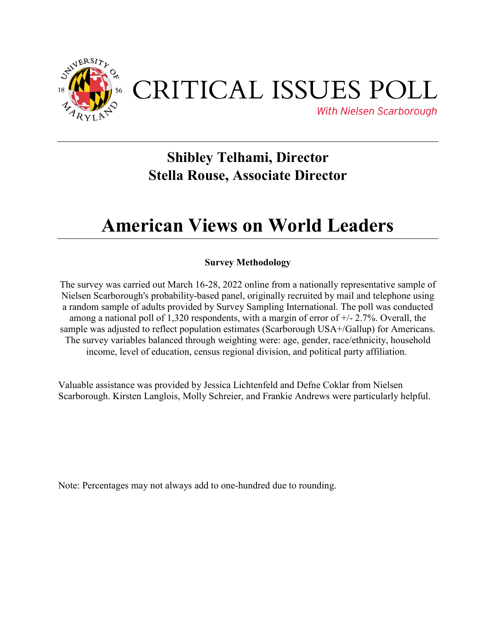

# CRITICAL ISSUES POLL

**With Nielsen Scarborough** 

### **Shibley Telhami, Director Stella Rouse, Associate Director**

## **American Views on World Leaders**

### **Survey Methodology**

The survey was carried out March 16-28, 2022 online from a nationally representative sample of Nielsen Scarborough's probability-based panel, originally recruited by mail and telephone using a random sample of adults provided by Survey Sampling International. The poll was conducted among a national poll of 1,320 respondents, with a margin of error of  $+/- 2.7\%$ . Overall, the sample was adjusted to reflect population estimates (Scarborough USA+/Gallup) for Americans. The survey variables balanced through weighting were: age, gender, race/ethnicity, household income, level of education, census regional division, and political party affiliation.

Valuable assistance was provided by Jessica Lichtenfeld and Defne Coklar from Nielsen Scarborough. Kirsten Langlois, Molly Schreier, and Frankie Andrews were particularly helpful.

Note: Percentages may not always add to one-hundred due to rounding.